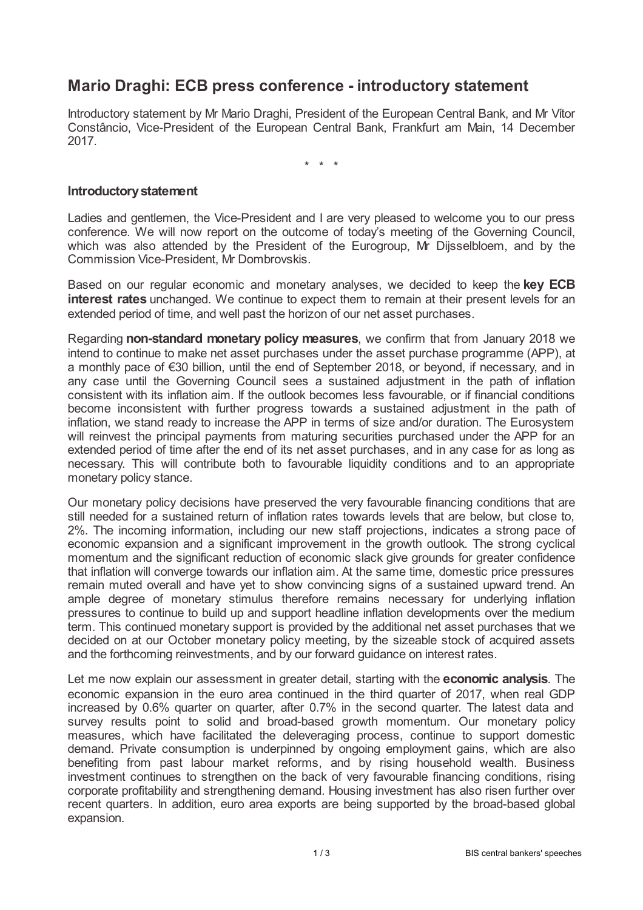## **Mario Draghi: ECB press conference - introductory statement**

Introductory statement by Mr Mario Draghi, President of the European Central Bank, and Mr Vítor Constâncio, Vice-President of the European Central Bank, Frankfurt am Main, 14 December 2017.

\* \* \*

## **Introductorystatement**

Ladies and gentlemen, the Vice-President and I are very pleased to welcome you to our press conference. We will now report on the outcome of today's meeting of the Governing Council, which was also attended by the President of the Eurogroup, Mr Dijsselbloem, and by the Commission Vice-President, Mr Dombrovskis.

Based on our regular economic and monetary analyses, we decided to keep the **key ECB interest rates** unchanged. We continue to expect them to remain at their present levels for an extended period of time, and well past the horizon of our net asset purchases.

Regarding **non-standard monetary policy measures**, we confirm that from January 2018 we intend to continue to make net asset purchases under the asset purchase programme (APP), at a monthly pace of €30 billion, until the end of September 2018, or beyond, if necessary, and in any case until the Governing Council sees a sustained adjustment in the path of inflation consistent with its inflation aim. If the outlook becomes less favourable, or if financial conditions become inconsistent with further progress towards a sustained adjustment in the path of inflation, we stand ready to increase the APP in terms of size and/or duration. The Eurosystem will reinvest the principal payments from maturing securities purchased under the APP for an extended period of time after the end of its net asset purchases, and in any case for as long as necessary. This will contribute both to favourable liquidity conditions and to an appropriate monetary policy stance.

Our monetary policy decisions have preserved the very favourable financing conditions that are still needed for a sustained return of inflation rates towards levels that are below, but close to, 2%. The incoming information, including our new staff projections, indicates a strong pace of economic expansion and a significant improvement in the growth outlook. The strong cyclical momentum and the significant reduction of economic slack give grounds for greater confidence that inflation will converge towards our inflation aim. At the same time, domestic price pressures remain muted overall and have yet to show convincing signs of a sustained upward trend. An ample degree of monetary stimulus therefore remains necessary for underlying inflation pressures to continue to build up and support headline inflation developments over the medium term. This continued monetary support is provided by the additional net asset purchases that we decided on at our October monetary policy meeting, by the sizeable stock of acquired assets and the forthcoming reinvestments, and by our forward guidance on interest rates.

Let me now explain our assessment in greater detail, starting with the **economic analysis**. The economic expansion in the euro area continued in the third quarter of 2017, when real GDP increased by 0.6% quarter on quarter, after 0.7% in the second quarter. The latest data and survey results point to solid and broad-based growth momentum. Our monetary policy measures, which have facilitated the deleveraging process, continue to support domestic demand. Private consumption is underpinned by ongoing employment gains, which are also benefiting from past labour market reforms, and by rising household wealth. Business investment continues to strengthen on the back of very favourable financing conditions, rising corporate profitability and strengthening demand. Housing investment has also risen further over recent quarters. In addition, euro area exports are being supported by the broad-based global expansion.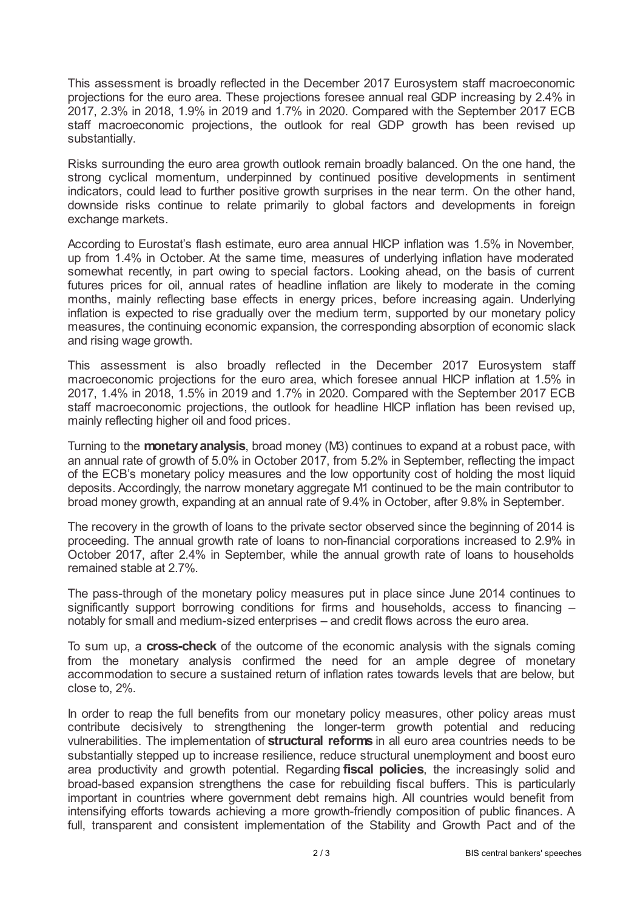This assessment is broadly reflected in the December 2017 Eurosystem staff macroeconomic projections for the euro area. These projections foresee annual real GDP increasing by 2.4% in 2017, 2.3% in 2018, 1.9% in 2019 and 1.7% in 2020. Compared with the September 2017 ECB staff macroeconomic projections, the outlook for real GDP growth has been revised up substantially.

Risks surrounding the euro area growth outlook remain broadly balanced. On the one hand, the strong cyclical momentum, underpinned by continued positive developments in sentiment indicators, could lead to further positive growth surprises in the near term. On the other hand, downside risks continue to relate primarily to global factors and developments in foreign exchange markets.

According to Eurostat's flash estimate, euro area annual HICP inflation was 1.5% in November, up from 1.4% in October. At the same time, measures of underlying inflation have moderated somewhat recently, in part owing to special factors. Looking ahead, on the basis of current futures prices for oil, annual rates of headline inflation are likely to moderate in the coming months, mainly reflecting base effects in energy prices, before increasing again. Underlying inflation is expected to rise gradually over the medium term, supported by our monetary policy measures, the continuing economic expansion, the corresponding absorption of economic slack and rising wage growth.

This assessment is also broadly reflected in the December 2017 Eurosystem staff macroeconomic projections for the euro area, which foresee annual HICP inflation at 1.5% in 2017, 1.4% in 2018, 1.5% in 2019 and 1.7% in 2020. Compared with the September 2017 ECB staff macroeconomic projections, the outlook for headline HICP inflation has been revised up, mainly reflecting higher oil and food prices.

Turning to the **monetaryanalysis**, broad money (M3) continues to expand at a robust pace, with an annual rate of growth of 5.0% in October 2017, from 5.2% in September, reflecting the impact of the ECB's monetary policy measures and the low opportunity cost of holding the most liquid deposits. Accordingly, the narrow monetary aggregate M1 continued to be the main contributor to broad money growth, expanding at an annual rate of 9.4% in October, after 9.8% in September.

The recovery in the growth of loans to the private sector observed since the beginning of 2014 is proceeding. The annual growth rate of loans to non-financial corporations increased to 2.9% in October 2017, after 2.4% in September, while the annual growth rate of loans to households remained stable at 2.7%.

The pass-through of the monetary policy measures put in place since June 2014 continues to significantly support borrowing conditions for firms and households, access to financing  $$ notably for small and medium-sized enterprises – and credit flows across the euro area.

To sum up, a **cross-check** of the outcome of the economic analysis with the signals coming from the monetary analysis confirmed the need for an ample degree of monetary accommodation to secure a sustained return of inflation rates towards levels that are below, but close to, 2%.

In order to reap the full benefits from our monetary policy measures, other policy areas must contribute decisively to strengthening the longer-term growth potential and reducing vulnerabilities. The implementation of **structural reforms** in all euro area countries needs to be substantially stepped up to increase resilience, reduce structural unemployment and boost euro area productivity and growth potential. Regarding **fiscal policies**, the increasingly solid and broad-based expansion strengthens the case for rebuilding fiscal buffers. This is particularly important in countries where government debt remains high. All countries would benefit from intensifying efforts towards achieving a more growth-friendly composition of public finances. A full, transparent and consistent implementation of the Stability and Growth Pact and of the